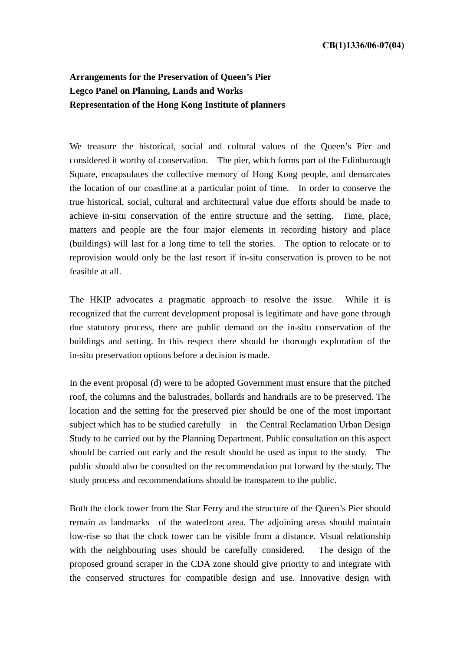## **Arrangements for the Preservation of Queen's Pier Legco Panel on Planning, Lands and Works Representation of the Hong Kong Institute of planners**

We treasure the historical, social and cultural values of the Queen's Pier and considered it worthy of conservation. The pier, which forms part of the Edinburough Square, encapsulates the collective memory of Hong Kong people, and demarcates the location of our coastline at a particular point of time. In order to conserve the true historical, social, cultural and architectural value due efforts should be made to achieve in-situ conservation of the entire structure and the setting. Time, place, matters and people are the four major elements in recording history and place (buildings) will last for a long time to tell the stories. The option to relocate or to reprovision would only be the last resort if in-situ conservation is proven to be not feasible at all.

The HKIP advocates a pragmatic approach to resolve the issue. While it is recognized that the current development proposal is legitimate and have gone through due statutory process, there are public demand on the in-situ conservation of the buildings and setting. In this respect there should be thorough exploration of the in-situ preservation options before a decision is made.

In the event proposal (d) were to be adopted Government must ensure that the pitched roof, the columns and the balustrades, bollards and handrails are to be preserved. The location and the setting for the preserved pier should be one of the most important subject which has to be studied carefully in the Central Reclamation Urban Design Study to be carried out by the Planning Department. Public consultation on this aspect should be carried out early and the result should be used as input to the study. The public should also be consulted on the recommendation put forward by the study. The study process and recommendations should be transparent to the public.

Both the clock tower from the Star Ferry and the structure of the Queen's Pier should remain as landmarks of the waterfront area. The adjoining areas should maintain low-rise so that the clock tower can be visible from a distance. Visual relationship with the neighbouring uses should be carefully considered. The design of the proposed ground scraper in the CDA zone should give priority to and integrate with the conserved structures for compatible design and use. Innovative design with